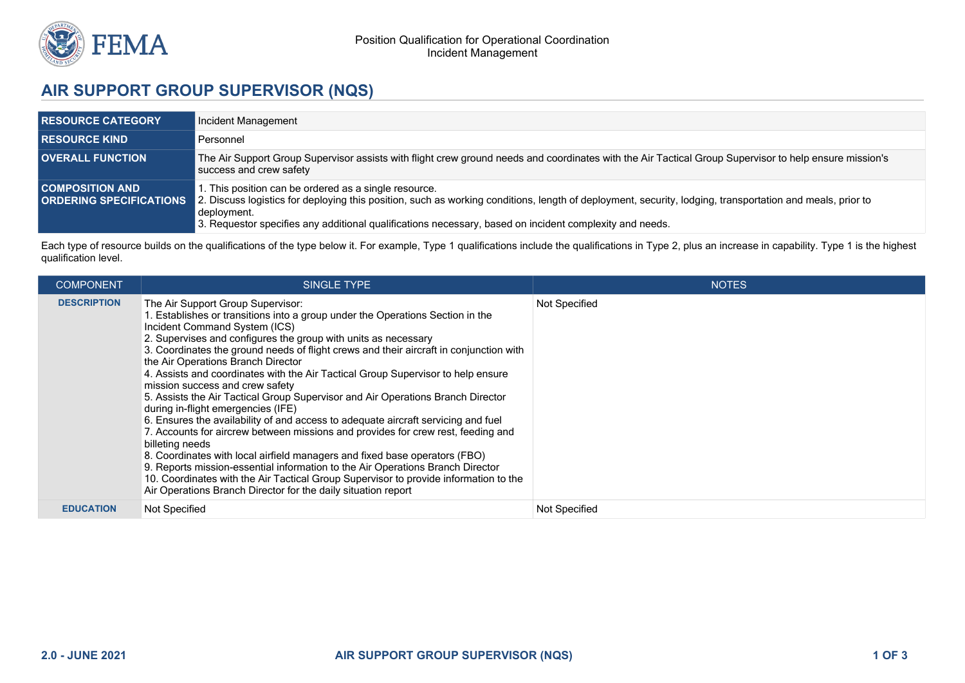

## **AIR SUPPORT GROUP SUPERVISOR (NQS)**

| <b>RESOURCE CATEGORY</b> | Incident Management                                                                                                                                                                                                                                                                                                                                                        |
|--------------------------|----------------------------------------------------------------------------------------------------------------------------------------------------------------------------------------------------------------------------------------------------------------------------------------------------------------------------------------------------------------------------|
| <b>RESOURCE KIND</b>     | Personnel                                                                                                                                                                                                                                                                                                                                                                  |
| <b>OVERALL FUNCTION</b>  | The Air Support Group Supervisor assists with flight crew ground needs and coordinates with the Air Tactical Group Supervisor to help ensure mission's<br>success and crew safety                                                                                                                                                                                          |
| <b>COMPOSITION AND</b>   | . This position can be ordered as a single resource.<br><b>ORDERING SPECIFICATIONS</b> 2. Discuss logistics for deploying this position, such as working conditions, length of deployment, security, lodging, transportation and meals, prior to<br>deployment.<br>3. Requestor specifies any additional qualifications necessary, based on incident complexity and needs. |

Each type of resource builds on the qualifications of the type below it. For example, Type 1 qualifications include the qualifications in Type 2, plus an increase in capability. Type 1 is the highest qualification level.

| <b>COMPONENT</b>   | SINGLE TYPE                                                                                                                                                                                                                                                                                                                                                                                                                                                                                                                                                                                                                                                                                                                                                                                                                                                                                                                                                                                                                                                                                                                | <b>NOTES</b>  |
|--------------------|----------------------------------------------------------------------------------------------------------------------------------------------------------------------------------------------------------------------------------------------------------------------------------------------------------------------------------------------------------------------------------------------------------------------------------------------------------------------------------------------------------------------------------------------------------------------------------------------------------------------------------------------------------------------------------------------------------------------------------------------------------------------------------------------------------------------------------------------------------------------------------------------------------------------------------------------------------------------------------------------------------------------------------------------------------------------------------------------------------------------------|---------------|
| <b>DESCRIPTION</b> | The Air Support Group Supervisor:<br>. Establishes or transitions into a group under the Operations Section in the<br>Incident Command System (ICS)<br>2. Supervises and configures the group with units as necessary<br>3. Coordinates the ground needs of flight crews and their aircraft in conjunction with<br>the Air Operations Branch Director<br>4. Assists and coordinates with the Air Tactical Group Supervisor to help ensure<br>mission success and crew safety<br>5. Assists the Air Tactical Group Supervisor and Air Operations Branch Director<br>during in-flight emergencies (IFE)<br>6. Ensures the availability of and access to adequate aircraft servicing and fuel<br>7. Accounts for aircrew between missions and provides for crew rest, feeding and<br>billeting needs<br>8. Coordinates with local airfield managers and fixed base operators (FBO)<br>9. Reports mission-essential information to the Air Operations Branch Director<br>10. Coordinates with the Air Tactical Group Supervisor to provide information to the<br>Air Operations Branch Director for the daily situation report | Not Specified |
| <b>EDUCATION</b>   | Not Specified                                                                                                                                                                                                                                                                                                                                                                                                                                                                                                                                                                                                                                                                                                                                                                                                                                                                                                                                                                                                                                                                                                              | Not Specified |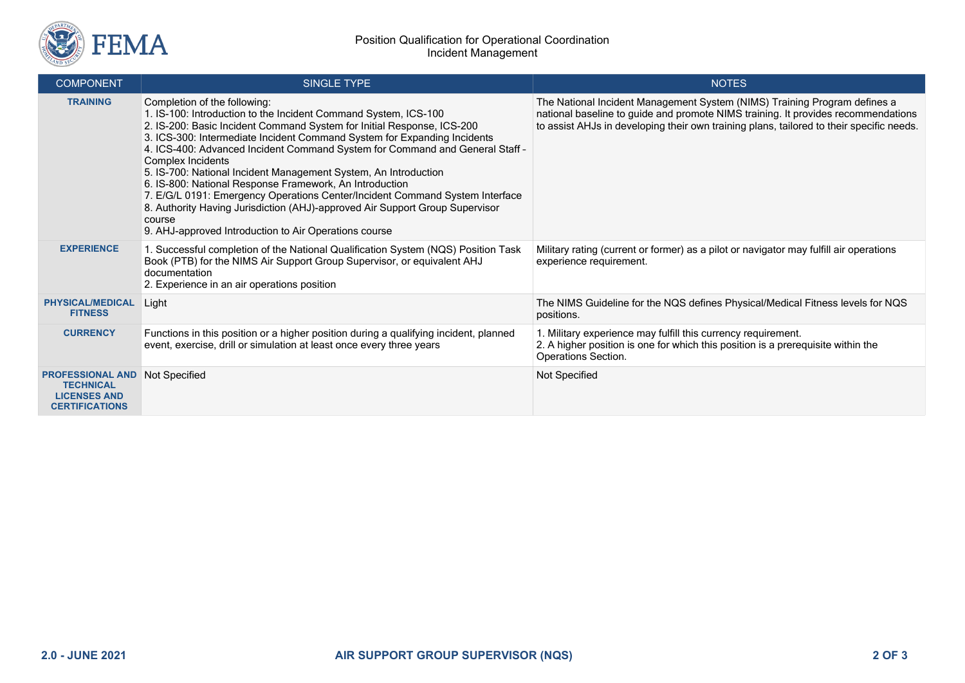

| <b>COMPONENT</b>                                                                            | <b>SINGLE TYPE</b>                                                                                                                                                                                                                                                                                                                                                                                                                                                                                                                                                                                                                                                                                                          | <b>NOTES</b>                                                                                                                                                                                                                                               |
|---------------------------------------------------------------------------------------------|-----------------------------------------------------------------------------------------------------------------------------------------------------------------------------------------------------------------------------------------------------------------------------------------------------------------------------------------------------------------------------------------------------------------------------------------------------------------------------------------------------------------------------------------------------------------------------------------------------------------------------------------------------------------------------------------------------------------------------|------------------------------------------------------------------------------------------------------------------------------------------------------------------------------------------------------------------------------------------------------------|
| <b>TRAINING</b>                                                                             | Completion of the following:<br>1. IS-100: Introduction to the Incident Command System, ICS-100<br>2. IS-200: Basic Incident Command System for Initial Response, ICS-200<br>3. ICS-300: Intermediate Incident Command System for Expanding Incidents<br>4. ICS-400: Advanced Incident Command System for Command and General Staff -<br>Complex Incidents<br>5. IS-700: National Incident Management System, An Introduction<br>6. IS-800: National Response Framework, An Introduction<br>7. E/G/L 0191: Emergency Operations Center/Incident Command System Interface<br>8. Authority Having Jurisdiction (AHJ)-approved Air Support Group Supervisor<br>course<br>9. AHJ-approved Introduction to Air Operations course | The National Incident Management System (NIMS) Training Program defines a<br>national baseline to guide and promote NIMS training. It provides recommendations<br>to assist AHJs in developing their own training plans, tailored to their specific needs. |
| <b>EXPERIENCE</b>                                                                           | 1. Successful completion of the National Qualification System (NQS) Position Task<br>Book (PTB) for the NIMS Air Support Group Supervisor, or equivalent AHJ<br>documentation<br>2. Experience in an air operations position                                                                                                                                                                                                                                                                                                                                                                                                                                                                                                | Military rating (current or former) as a pilot or navigator may fulfill air operations<br>experience requirement.                                                                                                                                          |
| <b>PHYSICAL/MEDICAL</b><br><b>FITNESS</b>                                                   | Light                                                                                                                                                                                                                                                                                                                                                                                                                                                                                                                                                                                                                                                                                                                       | The NIMS Guideline for the NQS defines Physical/Medical Fitness levels for NQS<br>positions.                                                                                                                                                               |
| <b>CURRENCY</b>                                                                             | Functions in this position or a higher position during a qualifying incident, planned<br>event, exercise, drill or simulation at least once every three years                                                                                                                                                                                                                                                                                                                                                                                                                                                                                                                                                               | 1. Military experience may fulfill this currency requirement.<br>2. A higher position is one for which this position is a prerequisite within the<br>Operations Section.                                                                                   |
| <b>PROFESSIONAL AND</b><br><b>TECHNICAL</b><br><b>LICENSES AND</b><br><b>CERTIFICATIONS</b> | Not Specified                                                                                                                                                                                                                                                                                                                                                                                                                                                                                                                                                                                                                                                                                                               | Not Specified                                                                                                                                                                                                                                              |